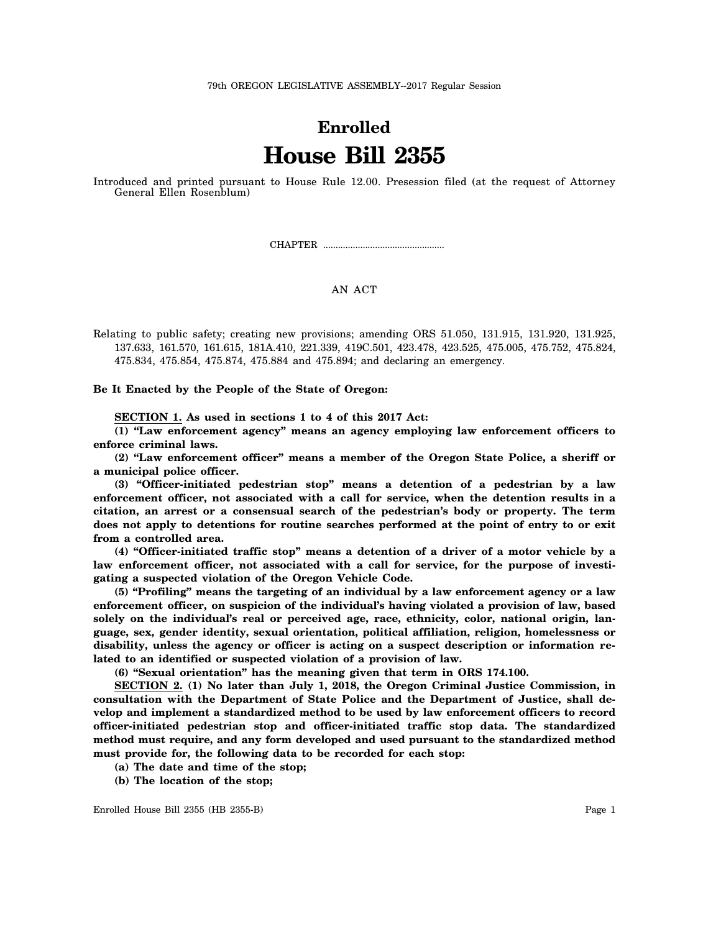## **Enrolled House Bill 2355**

Introduced and printed pursuant to House Rule 12.00. Presession filed (at the request of Attorney General Ellen Rosenblum)

CHAPTER .................................................

## AN ACT

Relating to public safety; creating new provisions; amending ORS 51.050, 131.915, 131.920, 131.925, 137.633, 161.570, 161.615, 181A.410, 221.339, 419C.501, 423.478, 423.525, 475.005, 475.752, 475.824, 475.834, 475.854, 475.874, 475.884 and 475.894; and declaring an emergency.

**Be It Enacted by the People of the State of Oregon:**

**SECTION 1. As used in sections 1 to 4 of this 2017 Act:**

**(1) "Law enforcement agency" means an agency employing law enforcement officers to enforce criminal laws.**

**(2) "Law enforcement officer" means a member of the Oregon State Police, a sheriff or a municipal police officer.**

**(3) "Officer-initiated pedestrian stop" means a detention of a pedestrian by a law enforcement officer, not associated with a call for service, when the detention results in a citation, an arrest or a consensual search of the pedestrian's body or property. The term does not apply to detentions for routine searches performed at the point of entry to or exit from a controlled area.**

**(4) "Officer-initiated traffic stop" means a detention of a driver of a motor vehicle by a law enforcement officer, not associated with a call for service, for the purpose of investigating a suspected violation of the Oregon Vehicle Code.**

**(5) "Profiling" means the targeting of an individual by a law enforcement agency or a law enforcement officer, on suspicion of the individual's having violated a provision of law, based solely on the individual's real or perceived age, race, ethnicity, color, national origin, language, sex, gender identity, sexual orientation, political affiliation, religion, homelessness or disability, unless the agency or officer is acting on a suspect description or information related to an identified or suspected violation of a provision of law.**

**(6) "Sexual orientation" has the meaning given that term in ORS 174.100.**

**SECTION 2. (1) No later than July 1, 2018, the Oregon Criminal Justice Commission, in consultation with the Department of State Police and the Department of Justice, shall develop and implement a standardized method to be used by law enforcement officers to record officer-initiated pedestrian stop and officer-initiated traffic stop data. The standardized method must require, and any form developed and used pursuant to the standardized method must provide for, the following data to be recorded for each stop:**

**(a) The date and time of the stop;**

**(b) The location of the stop;**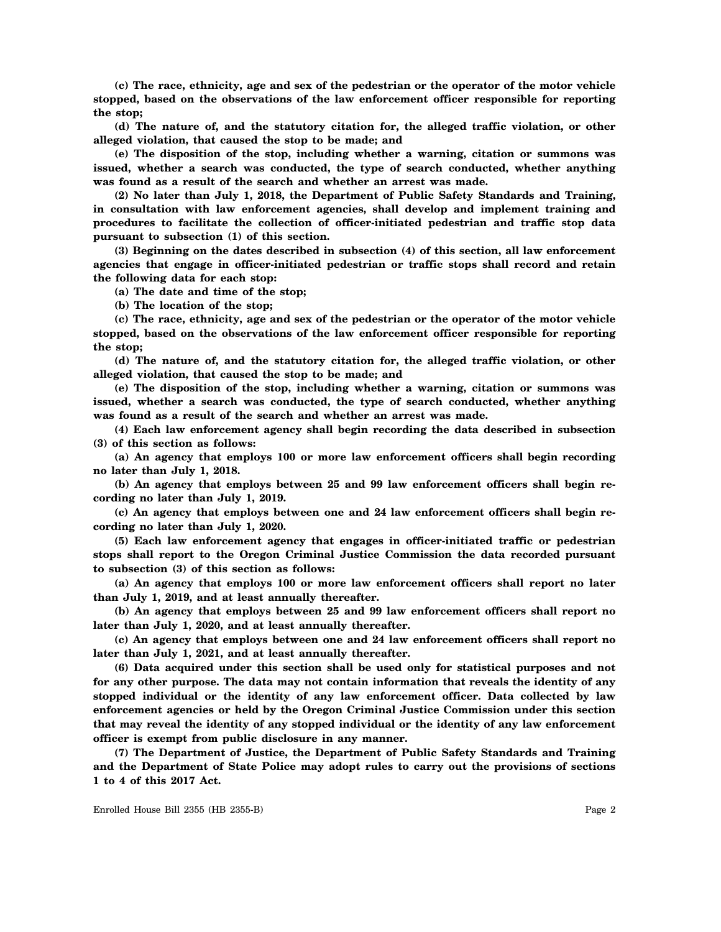**(c) The race, ethnicity, age and sex of the pedestrian or the operator of the motor vehicle stopped, based on the observations of the law enforcement officer responsible for reporting the stop;**

**(d) The nature of, and the statutory citation for, the alleged traffic violation, or other alleged violation, that caused the stop to be made; and**

**(e) The disposition of the stop, including whether a warning, citation or summons was issued, whether a search was conducted, the type of search conducted, whether anything was found as a result of the search and whether an arrest was made.**

**(2) No later than July 1, 2018, the Department of Public Safety Standards and Training, in consultation with law enforcement agencies, shall develop and implement training and procedures to facilitate the collection of officer-initiated pedestrian and traffic stop data pursuant to subsection (1) of this section.**

**(3) Beginning on the dates described in subsection (4) of this section, all law enforcement agencies that engage in officer-initiated pedestrian or traffic stops shall record and retain the following data for each stop:**

**(a) The date and time of the stop;**

**(b) The location of the stop;**

**(c) The race, ethnicity, age and sex of the pedestrian or the operator of the motor vehicle stopped, based on the observations of the law enforcement officer responsible for reporting the stop;**

**(d) The nature of, and the statutory citation for, the alleged traffic violation, or other alleged violation, that caused the stop to be made; and**

**(e) The disposition of the stop, including whether a warning, citation or summons was issued, whether a search was conducted, the type of search conducted, whether anything was found as a result of the search and whether an arrest was made.**

**(4) Each law enforcement agency shall begin recording the data described in subsection (3) of this section as follows:**

**(a) An agency that employs 100 or more law enforcement officers shall begin recording no later than July 1, 2018.**

**(b) An agency that employs between 25 and 99 law enforcement officers shall begin recording no later than July 1, 2019.**

**(c) An agency that employs between one and 24 law enforcement officers shall begin recording no later than July 1, 2020.**

**(5) Each law enforcement agency that engages in officer-initiated traffic or pedestrian stops shall report to the Oregon Criminal Justice Commission the data recorded pursuant to subsection (3) of this section as follows:**

**(a) An agency that employs 100 or more law enforcement officers shall report no later than July 1, 2019, and at least annually thereafter.**

**(b) An agency that employs between 25 and 99 law enforcement officers shall report no later than July 1, 2020, and at least annually thereafter.**

**(c) An agency that employs between one and 24 law enforcement officers shall report no later than July 1, 2021, and at least annually thereafter.**

**(6) Data acquired under this section shall be used only for statistical purposes and not for any other purpose. The data may not contain information that reveals the identity of any stopped individual or the identity of any law enforcement officer. Data collected by law enforcement agencies or held by the Oregon Criminal Justice Commission under this section that may reveal the identity of any stopped individual or the identity of any law enforcement officer is exempt from public disclosure in any manner.**

**(7) The Department of Justice, the Department of Public Safety Standards and Training and the Department of State Police may adopt rules to carry out the provisions of sections 1 to 4 of this 2017 Act.**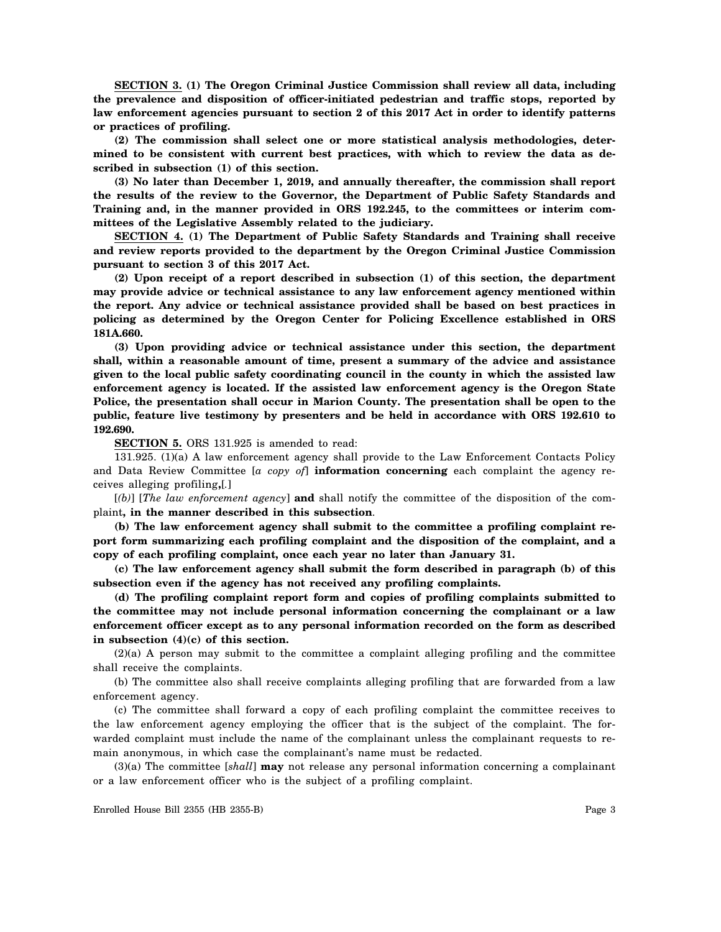**SECTION 3. (1) The Oregon Criminal Justice Commission shall review all data, including the prevalence and disposition of officer-initiated pedestrian and traffic stops, reported by law enforcement agencies pursuant to section 2 of this 2017 Act in order to identify patterns or practices of profiling.**

**(2) The commission shall select one or more statistical analysis methodologies, determined to be consistent with current best practices, with which to review the data as described in subsection (1) of this section.**

**(3) No later than December 1, 2019, and annually thereafter, the commission shall report the results of the review to the Governor, the Department of Public Safety Standards and Training and, in the manner provided in ORS 192.245, to the committees or interim committees of the Legislative Assembly related to the judiciary.**

**SECTION 4. (1) The Department of Public Safety Standards and Training shall receive and review reports provided to the department by the Oregon Criminal Justice Commission pursuant to section 3 of this 2017 Act.**

**(2) Upon receipt of a report described in subsection (1) of this section, the department may provide advice or technical assistance to any law enforcement agency mentioned within the report. Any advice or technical assistance provided shall be based on best practices in policing as determined by the Oregon Center for Policing Excellence established in ORS 181A.660.**

**(3) Upon providing advice or technical assistance under this section, the department shall, within a reasonable amount of time, present a summary of the advice and assistance given to the local public safety coordinating council in the county in which the assisted law enforcement agency is located. If the assisted law enforcement agency is the Oregon State Police, the presentation shall occur in Marion County. The presentation shall be open to the public, feature live testimony by presenters and be held in accordance with ORS 192.610 to 192.690.**

**SECTION 5.** ORS 131.925 is amended to read:

131.925. (1)(a) A law enforcement agency shall provide to the Law Enforcement Contacts Policy and Data Review Committee [*a copy of*] **information concerning** each complaint the agency receives alleging profiling**,**[*.*]

[*(b)*] [*The law enforcement agency*] **and** shall notify the committee of the disposition of the complaint**, in the manner described in this subsection**.

**(b) The law enforcement agency shall submit to the committee a profiling complaint report form summarizing each profiling complaint and the disposition of the complaint, and a copy of each profiling complaint, once each year no later than January 31.**

**(c) The law enforcement agency shall submit the form described in paragraph (b) of this subsection even if the agency has not received any profiling complaints.**

**(d) The profiling complaint report form and copies of profiling complaints submitted to the committee may not include personal information concerning the complainant or a law enforcement officer except as to any personal information recorded on the form as described in subsection (4)(c) of this section.**

(2)(a) A person may submit to the committee a complaint alleging profiling and the committee shall receive the complaints.

(b) The committee also shall receive complaints alleging profiling that are forwarded from a law enforcement agency.

(c) The committee shall forward a copy of each profiling complaint the committee receives to the law enforcement agency employing the officer that is the subject of the complaint. The forwarded complaint must include the name of the complainant unless the complainant requests to remain anonymous, in which case the complainant's name must be redacted.

(3)(a) The committee [*shall*] **may** not release any personal information concerning a complainant or a law enforcement officer who is the subject of a profiling complaint.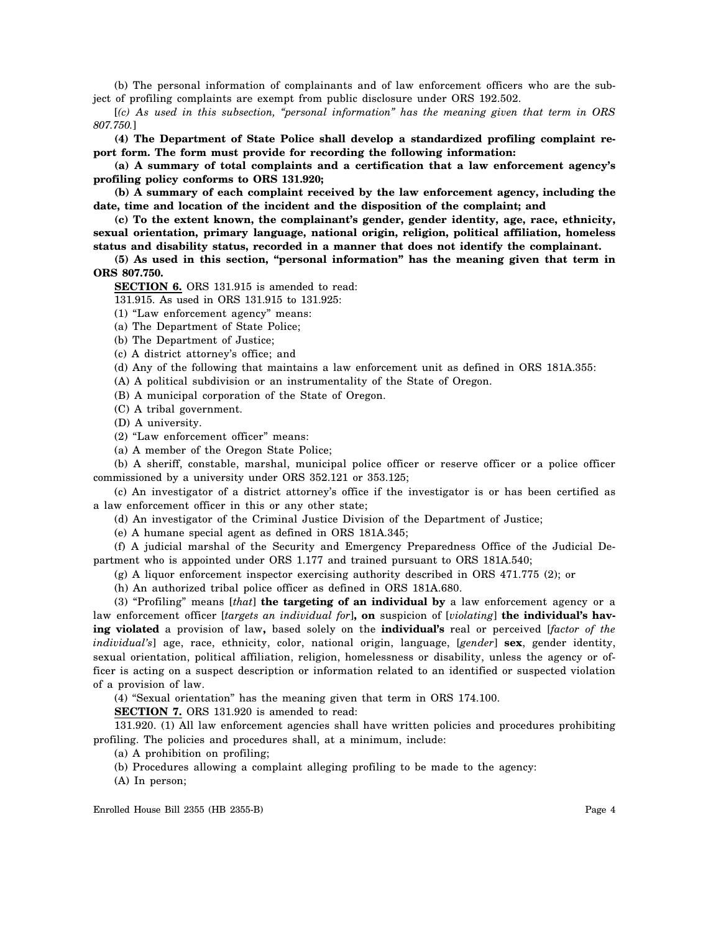(b) The personal information of complainants and of law enforcement officers who are the subject of profiling complaints are exempt from public disclosure under ORS 192.502.

[*(c) As used in this subsection, "personal information" has the meaning given that term in ORS 807.750.*]

**(4) The Department of State Police shall develop a standardized profiling complaint report form. The form must provide for recording the following information:**

**(a) A summary of total complaints and a certification that a law enforcement agency's profiling policy conforms to ORS 131.920;**

**(b) A summary of each complaint received by the law enforcement agency, including the date, time and location of the incident and the disposition of the complaint; and**

**(c) To the extent known, the complainant's gender, gender identity, age, race, ethnicity, sexual orientation, primary language, national origin, religion, political affiliation, homeless status and disability status, recorded in a manner that does not identify the complainant.**

**(5) As used in this section, "personal information" has the meaning given that term in ORS 807.750.**

**SECTION 6.** ORS 131.915 is amended to read:

131.915. As used in ORS 131.915 to 131.925:

(1) "Law enforcement agency" means:

(a) The Department of State Police;

(b) The Department of Justice;

(c) A district attorney's office; and

(d) Any of the following that maintains a law enforcement unit as defined in ORS 181A.355:

(A) A political subdivision or an instrumentality of the State of Oregon.

(B) A municipal corporation of the State of Oregon.

(C) A tribal government.

(D) A university.

(2) "Law enforcement officer" means:

(a) A member of the Oregon State Police;

(b) A sheriff, constable, marshal, municipal police officer or reserve officer or a police officer commissioned by a university under ORS 352.121 or 353.125;

(c) An investigator of a district attorney's office if the investigator is or has been certified as a law enforcement officer in this or any other state;

(d) An investigator of the Criminal Justice Division of the Department of Justice;

(e) A humane special agent as defined in ORS 181A.345;

(f) A judicial marshal of the Security and Emergency Preparedness Office of the Judicial Department who is appointed under ORS 1.177 and trained pursuant to ORS 181A.540;

(g) A liquor enforcement inspector exercising authority described in ORS 471.775 (2); or

(h) An authorized tribal police officer as defined in ORS 181A.680.

(3) "Profiling" means [*that*] **the targeting of an individual by** a law enforcement agency or a law enforcement officer [*targets an individual for*]**, on** suspicion of [*violating*] **the individual's having violated** a provision of law**,** based solely on the **individual's** real or perceived [*factor of the individual's*] age, race, ethnicity, color, national origin, language, [*gender*] **sex**, gender identity, sexual orientation, political affiliation, religion, homelessness or disability, unless the agency or officer is acting on a suspect description or information related to an identified or suspected violation of a provision of law.

(4) "Sexual orientation" has the meaning given that term in ORS 174.100.

**SECTION 7.** ORS 131.920 is amended to read:

131.920. (1) All law enforcement agencies shall have written policies and procedures prohibiting profiling. The policies and procedures shall, at a minimum, include:

(a) A prohibition on profiling;

(b) Procedures allowing a complaint alleging profiling to be made to the agency:

(A) In person;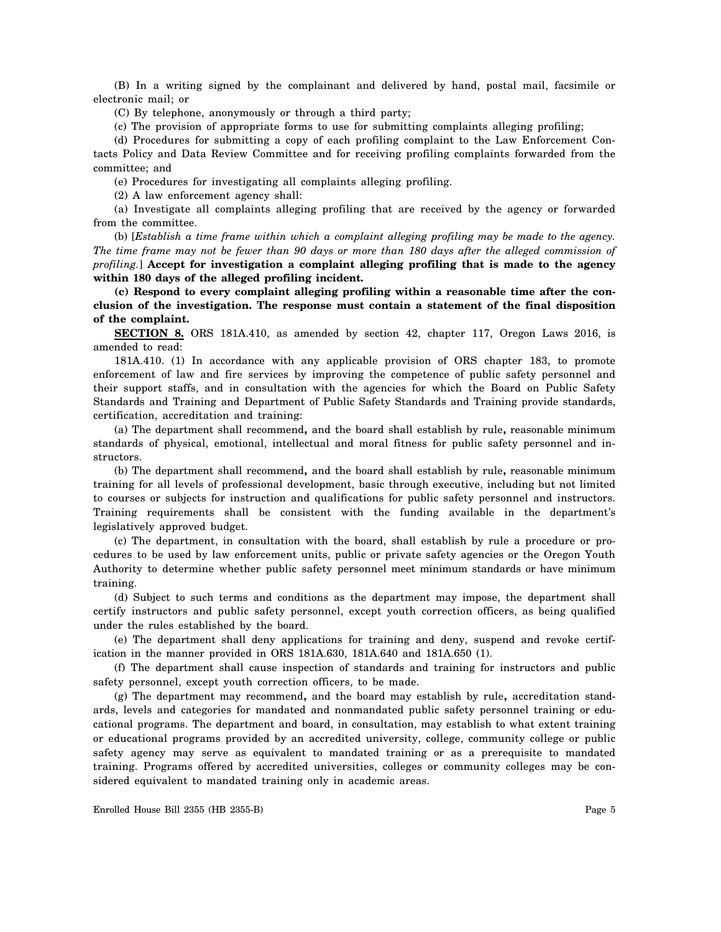(B) In a writing signed by the complainant and delivered by hand, postal mail, facsimile or electronic mail; or

(C) By telephone, anonymously or through a third party;

(c) The provision of appropriate forms to use for submitting complaints alleging profiling;

(d) Procedures for submitting a copy of each profiling complaint to the Law Enforcement Contacts Policy and Data Review Committee and for receiving profiling complaints forwarded from the committee; and

(e) Procedures for investigating all complaints alleging profiling.

(2) A law enforcement agency shall:

(a) Investigate all complaints alleging profiling that are received by the agency or forwarded from the committee.

(b) [*Establish a time frame within which a complaint alleging profiling may be made to the agency. The time frame may not be fewer than 90 days or more than 180 days after the alleged commission of profiling.*] **Accept for investigation a complaint alleging profiling that is made to the agency within 180 days of the alleged profiling incident.**

**(c) Respond to every complaint alleging profiling within a reasonable time after the conclusion of the investigation. The response must contain a statement of the final disposition of the complaint.**

**SECTION 8.** ORS 181A.410, as amended by section 42, chapter 117, Oregon Laws 2016, is amended to read:

181A.410. (1) In accordance with any applicable provision of ORS chapter 183, to promote enforcement of law and fire services by improving the competence of public safety personnel and their support staffs, and in consultation with the agencies for which the Board on Public Safety Standards and Training and Department of Public Safety Standards and Training provide standards, certification, accreditation and training:

(a) The department shall recommend**,** and the board shall establish by rule**,** reasonable minimum standards of physical, emotional, intellectual and moral fitness for public safety personnel and instructors.

(b) The department shall recommend**,** and the board shall establish by rule**,** reasonable minimum training for all levels of professional development, basic through executive, including but not limited to courses or subjects for instruction and qualifications for public safety personnel and instructors. Training requirements shall be consistent with the funding available in the department's legislatively approved budget.

(c) The department, in consultation with the board, shall establish by rule a procedure or procedures to be used by law enforcement units, public or private safety agencies or the Oregon Youth Authority to determine whether public safety personnel meet minimum standards or have minimum training.

(d) Subject to such terms and conditions as the department may impose, the department shall certify instructors and public safety personnel, except youth correction officers, as being qualified under the rules established by the board.

(e) The department shall deny applications for training and deny, suspend and revoke certification in the manner provided in ORS 181A.630, 181A.640 and 181A.650 (1).

(f) The department shall cause inspection of standards and training for instructors and public safety personnel, except youth correction officers, to be made.

(g) The department may recommend**,** and the board may establish by rule**,** accreditation standards, levels and categories for mandated and nonmandated public safety personnel training or educational programs. The department and board, in consultation, may establish to what extent training or educational programs provided by an accredited university, college, community college or public safety agency may serve as equivalent to mandated training or as a prerequisite to mandated training. Programs offered by accredited universities, colleges or community colleges may be considered equivalent to mandated training only in academic areas.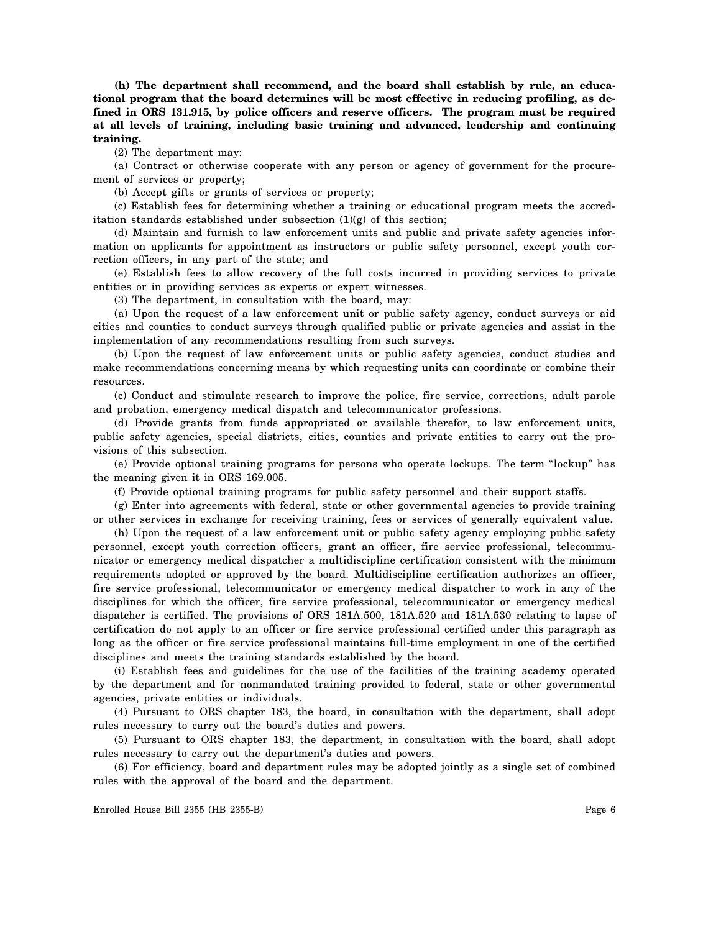**(h) The department shall recommend, and the board shall establish by rule, an educational program that the board determines will be most effective in reducing profiling, as defined in ORS 131.915, by police officers and reserve officers. The program must be required at all levels of training, including basic training and advanced, leadership and continuing training.**

(2) The department may:

(a) Contract or otherwise cooperate with any person or agency of government for the procurement of services or property;

(b) Accept gifts or grants of services or property;

(c) Establish fees for determining whether a training or educational program meets the accreditation standards established under subsection (1)(g) of this section;

(d) Maintain and furnish to law enforcement units and public and private safety agencies information on applicants for appointment as instructors or public safety personnel, except youth correction officers, in any part of the state; and

(e) Establish fees to allow recovery of the full costs incurred in providing services to private entities or in providing services as experts or expert witnesses.

(3) The department, in consultation with the board, may:

(a) Upon the request of a law enforcement unit or public safety agency, conduct surveys or aid cities and counties to conduct surveys through qualified public or private agencies and assist in the implementation of any recommendations resulting from such surveys.

(b) Upon the request of law enforcement units or public safety agencies, conduct studies and make recommendations concerning means by which requesting units can coordinate or combine their resources.

(c) Conduct and stimulate research to improve the police, fire service, corrections, adult parole and probation, emergency medical dispatch and telecommunicator professions.

(d) Provide grants from funds appropriated or available therefor, to law enforcement units, public safety agencies, special districts, cities, counties and private entities to carry out the provisions of this subsection.

(e) Provide optional training programs for persons who operate lockups. The term "lockup" has the meaning given it in ORS 169.005.

(f) Provide optional training programs for public safety personnel and their support staffs.

(g) Enter into agreements with federal, state or other governmental agencies to provide training or other services in exchange for receiving training, fees or services of generally equivalent value.

(h) Upon the request of a law enforcement unit or public safety agency employing public safety personnel, except youth correction officers, grant an officer, fire service professional, telecommunicator or emergency medical dispatcher a multidiscipline certification consistent with the minimum requirements adopted or approved by the board. Multidiscipline certification authorizes an officer, fire service professional, telecommunicator or emergency medical dispatcher to work in any of the disciplines for which the officer, fire service professional, telecommunicator or emergency medical dispatcher is certified. The provisions of ORS 181A.500, 181A.520 and 181A.530 relating to lapse of certification do not apply to an officer or fire service professional certified under this paragraph as long as the officer or fire service professional maintains full-time employment in one of the certified disciplines and meets the training standards established by the board.

(i) Establish fees and guidelines for the use of the facilities of the training academy operated by the department and for nonmandated training provided to federal, state or other governmental agencies, private entities or individuals.

(4) Pursuant to ORS chapter 183, the board, in consultation with the department, shall adopt rules necessary to carry out the board's duties and powers.

(5) Pursuant to ORS chapter 183, the department, in consultation with the board, shall adopt rules necessary to carry out the department's duties and powers.

(6) For efficiency, board and department rules may be adopted jointly as a single set of combined rules with the approval of the board and the department.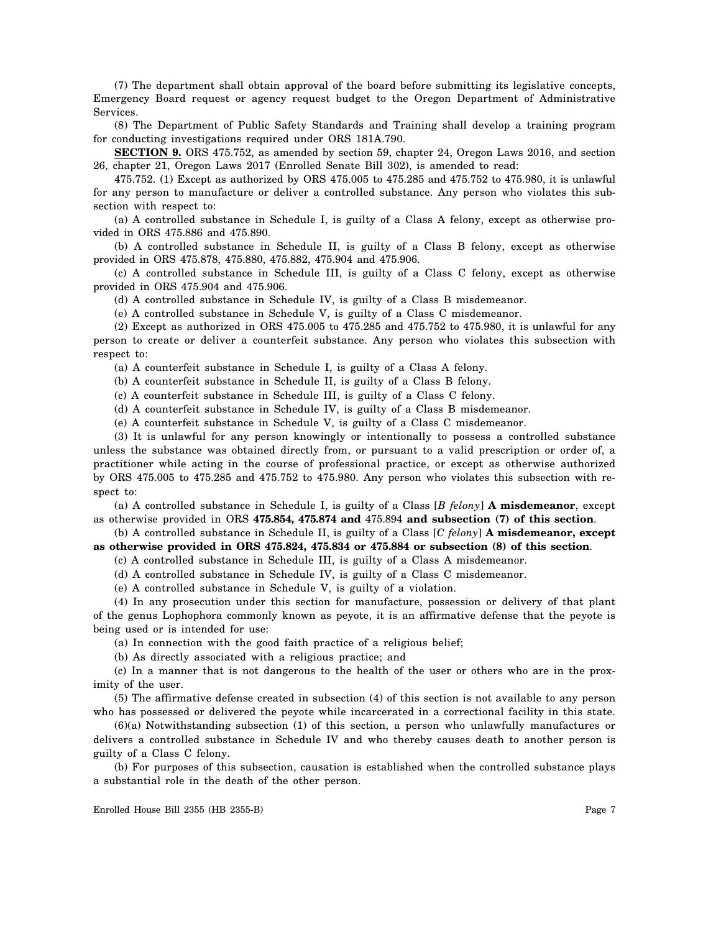(7) The department shall obtain approval of the board before submitting its legislative concepts, Emergency Board request or agency request budget to the Oregon Department of Administrative Services.

(8) The Department of Public Safety Standards and Training shall develop a training program for conducting investigations required under ORS 181A.790.

**SECTION 9.** ORS 475.752, as amended by section 59, chapter 24, Oregon Laws 2016, and section 26, chapter 21, Oregon Laws 2017 (Enrolled Senate Bill 302), is amended to read:

475.752. (1) Except as authorized by ORS 475.005 to 475.285 and 475.752 to 475.980, it is unlawful for any person to manufacture or deliver a controlled substance. Any person who violates this subsection with respect to:

(a) A controlled substance in Schedule I, is guilty of a Class A felony, except as otherwise provided in ORS 475.886 and 475.890.

(b) A controlled substance in Schedule II, is guilty of a Class B felony, except as otherwise provided in ORS 475.878, 475.880, 475.882, 475.904 and 475.906.

(c) A controlled substance in Schedule III, is guilty of a Class C felony, except as otherwise provided in ORS 475.904 and 475.906.

(d) A controlled substance in Schedule IV, is guilty of a Class B misdemeanor.

(e) A controlled substance in Schedule V, is guilty of a Class C misdemeanor.

(2) Except as authorized in ORS 475.005 to 475.285 and 475.752 to 475.980, it is unlawful for any person to create or deliver a counterfeit substance. Any person who violates this subsection with respect to:

(a) A counterfeit substance in Schedule I, is guilty of a Class A felony.

(b) A counterfeit substance in Schedule II, is guilty of a Class B felony.

(c) A counterfeit substance in Schedule III, is guilty of a Class C felony.

(d) A counterfeit substance in Schedule IV, is guilty of a Class B misdemeanor.

(e) A counterfeit substance in Schedule V, is guilty of a Class C misdemeanor.

(3) It is unlawful for any person knowingly or intentionally to possess a controlled substance unless the substance was obtained directly from, or pursuant to a valid prescription or order of, a practitioner while acting in the course of professional practice, or except as otherwise authorized by ORS 475.005 to 475.285 and 475.752 to 475.980. Any person who violates this subsection with respect to:

(a) A controlled substance in Schedule I, is guilty of a Class [*B felony*] **A misdemeanor**, except as otherwise provided in ORS **475.854, 475.874 and** 475.894 **and subsection (7) of this section**.

(b) A controlled substance in Schedule II, is guilty of a Class [*C felony*] **A misdemeanor, except as otherwise provided in ORS 475.824, 475.834 or 475.884 or subsection (8) of this section**.

(c) A controlled substance in Schedule III, is guilty of a Class A misdemeanor.

(d) A controlled substance in Schedule IV, is guilty of a Class C misdemeanor.

(e) A controlled substance in Schedule V, is guilty of a violation.

(4) In any prosecution under this section for manufacture, possession or delivery of that plant of the genus Lophophora commonly known as peyote, it is an affirmative defense that the peyote is being used or is intended for use:

(a) In connection with the good faith practice of a religious belief;

(b) As directly associated with a religious practice; and

(c) In a manner that is not dangerous to the health of the user or others who are in the proximity of the user.

(5) The affirmative defense created in subsection (4) of this section is not available to any person who has possessed or delivered the peyote while incarcerated in a correctional facility in this state.

(6)(a) Notwithstanding subsection (1) of this section, a person who unlawfully manufactures or delivers a controlled substance in Schedule IV and who thereby causes death to another person is guilty of a Class C felony.

(b) For purposes of this subsection, causation is established when the controlled substance plays a substantial role in the death of the other person.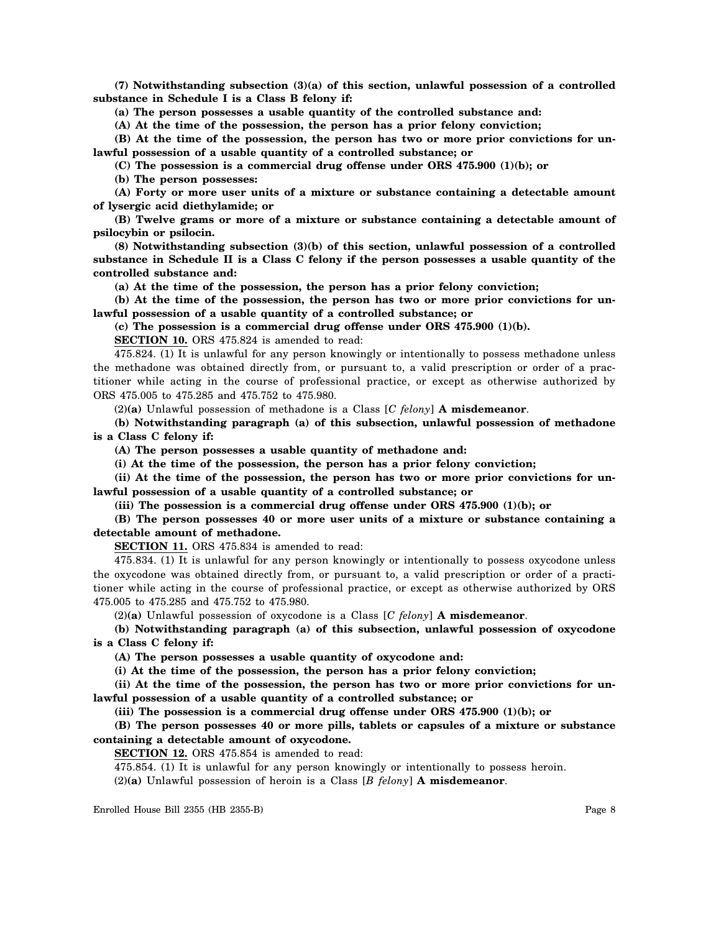**(7) Notwithstanding subsection (3)(a) of this section, unlawful possession of a controlled substance in Schedule I is a Class B felony if:**

**(a) The person possesses a usable quantity of the controlled substance and:**

**(A) At the time of the possession, the person has a prior felony conviction;**

**(B) At the time of the possession, the person has two or more prior convictions for unlawful possession of a usable quantity of a controlled substance; or**

**(C) The possession is a commercial drug offense under ORS 475.900 (1)(b); or**

**(b) The person possesses:**

**(A) Forty or more user units of a mixture or substance containing a detectable amount of lysergic acid diethylamide; or**

**(B) Twelve grams or more of a mixture or substance containing a detectable amount of psilocybin or psilocin.**

**(8) Notwithstanding subsection (3)(b) of this section, unlawful possession of a controlled substance in Schedule II is a Class C felony if the person possesses a usable quantity of the controlled substance and:**

**(a) At the time of the possession, the person has a prior felony conviction;**

**(b) At the time of the possession, the person has two or more prior convictions for unlawful possession of a usable quantity of a controlled substance; or**

**(c) The possession is a commercial drug offense under ORS 475.900 (1)(b).**

**SECTION 10.** ORS 475.824 is amended to read:

475.824. (1) It is unlawful for any person knowingly or intentionally to possess methadone unless the methadone was obtained directly from, or pursuant to, a valid prescription or order of a practitioner while acting in the course of professional practice, or except as otherwise authorized by ORS 475.005 to 475.285 and 475.752 to 475.980.

(2)**(a)** Unlawful possession of methadone is a Class [*C felony*] **A misdemeanor**.

**(b) Notwithstanding paragraph (a) of this subsection, unlawful possession of methadone is a Class C felony if:**

**(A) The person possesses a usable quantity of methadone and:**

**(i) At the time of the possession, the person has a prior felony conviction;**

**(ii) At the time of the possession, the person has two or more prior convictions for unlawful possession of a usable quantity of a controlled substance; or**

**(iii) The possession is a commercial drug offense under ORS 475.900 (1)(b); or**

## **(B) The person possesses 40 or more user units of a mixture or substance containing a detectable amount of methadone.**

**SECTION 11.** ORS 475.834 is amended to read:

475.834. (1) It is unlawful for any person knowingly or intentionally to possess oxycodone unless the oxycodone was obtained directly from, or pursuant to, a valid prescription or order of a practitioner while acting in the course of professional practice, or except as otherwise authorized by ORS 475.005 to 475.285 and 475.752 to 475.980.

(2)**(a)** Unlawful possession of oxycodone is a Class [*C felony*] **A misdemeanor**.

**(b) Notwithstanding paragraph (a) of this subsection, unlawful possession of oxycodone is a Class C felony if:**

**(A) The person possesses a usable quantity of oxycodone and:**

**(i) At the time of the possession, the person has a prior felony conviction;**

**(ii) At the time of the possession, the person has two or more prior convictions for unlawful possession of a usable quantity of a controlled substance; or**

**(iii) The possession is a commercial drug offense under ORS 475.900 (1)(b); or**

**(B) The person possesses 40 or more pills, tablets or capsules of a mixture or substance containing a detectable amount of oxycodone.**

**SECTION 12.** ORS 475.854 is amended to read:

475.854. (1) It is unlawful for any person knowingly or intentionally to possess heroin.

(2)**(a)** Unlawful possession of heroin is a Class [*B felony*] **A misdemeanor**.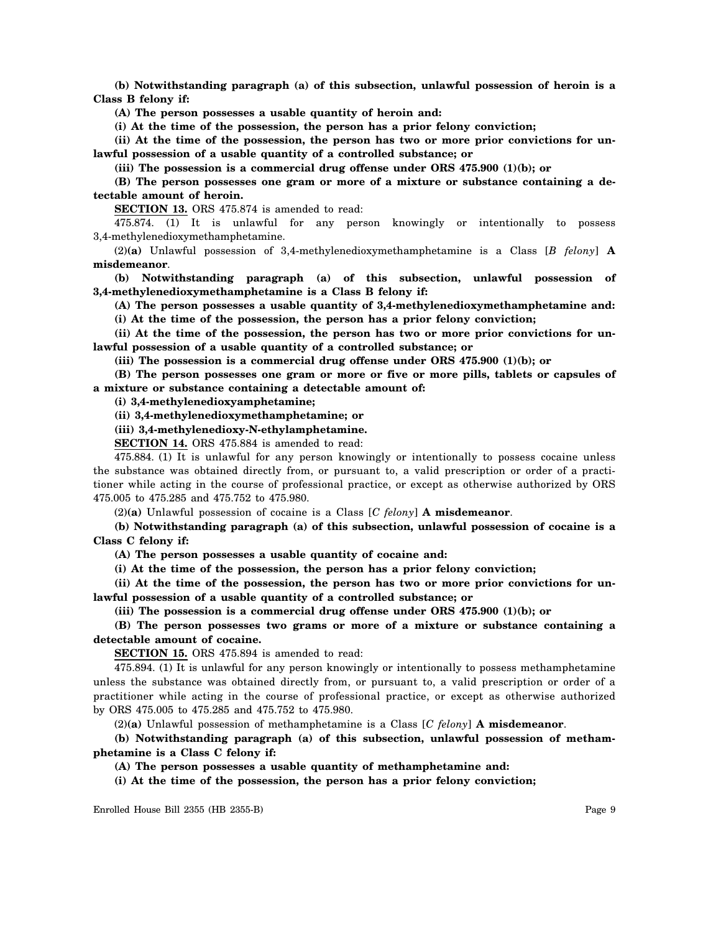**(b) Notwithstanding paragraph (a) of this subsection, unlawful possession of heroin is a Class B felony if:**

**(A) The person possesses a usable quantity of heroin and:**

**(i) At the time of the possession, the person has a prior felony conviction;**

**(ii) At the time of the possession, the person has two or more prior convictions for unlawful possession of a usable quantity of a controlled substance; or**

**(iii) The possession is a commercial drug offense under ORS 475.900 (1)(b); or**

**(B) The person possesses one gram or more of a mixture or substance containing a detectable amount of heroin.**

**SECTION 13.** ORS 475.874 is amended to read:

475.874. (1) It is unlawful for any person knowingly or intentionally to possess 3,4-methylenedioxymethamphetamine.

(2)**(a)** Unlawful possession of 3,4-methylenedioxymethamphetamine is a Class [*B felony*] **A misdemeanor**.

**(b) Notwithstanding paragraph (a) of this subsection, unlawful possession of 3,4-methylenedioxymethamphetamine is a Class B felony if:**

**(A) The person possesses a usable quantity of 3,4-methylenedioxymethamphetamine and: (i) At the time of the possession, the person has a prior felony conviction;**

**(ii) At the time of the possession, the person has two or more prior convictions for unlawful possession of a usable quantity of a controlled substance; or**

**(iii) The possession is a commercial drug offense under ORS 475.900 (1)(b); or**

**(B) The person possesses one gram or more or five or more pills, tablets or capsules of a mixture or substance containing a detectable amount of:**

**(i) 3,4-methylenedioxyamphetamine;**

**(ii) 3,4-methylenedioxymethamphetamine; or**

**(iii) 3,4-methylenedioxy-N-ethylamphetamine.**

**SECTION 14.** ORS 475.884 is amended to read:

475.884. (1) It is unlawful for any person knowingly or intentionally to possess cocaine unless the substance was obtained directly from, or pursuant to, a valid prescription or order of a practitioner while acting in the course of professional practice, or except as otherwise authorized by ORS 475.005 to 475.285 and 475.752 to 475.980.

(2)**(a)** Unlawful possession of cocaine is a Class [*C felony*] **A misdemeanor**.

**(b) Notwithstanding paragraph (a) of this subsection, unlawful possession of cocaine is a Class C felony if:**

**(A) The person possesses a usable quantity of cocaine and:**

**(i) At the time of the possession, the person has a prior felony conviction;**

**(ii) At the time of the possession, the person has two or more prior convictions for unlawful possession of a usable quantity of a controlled substance; or**

**(iii) The possession is a commercial drug offense under ORS 475.900 (1)(b); or**

**(B) The person possesses two grams or more of a mixture or substance containing a detectable amount of cocaine.**

**SECTION 15.** ORS 475.894 is amended to read:

475.894. (1) It is unlawful for any person knowingly or intentionally to possess methamphetamine unless the substance was obtained directly from, or pursuant to, a valid prescription or order of a practitioner while acting in the course of professional practice, or except as otherwise authorized by ORS 475.005 to 475.285 and 475.752 to 475.980.

(2)**(a)** Unlawful possession of methamphetamine is a Class [*C felony*] **A misdemeanor**.

**(b) Notwithstanding paragraph (a) of this subsection, unlawful possession of methamphetamine is a Class C felony if:**

**(A) The person possesses a usable quantity of methamphetamine and:**

**(i) At the time of the possession, the person has a prior felony conviction;**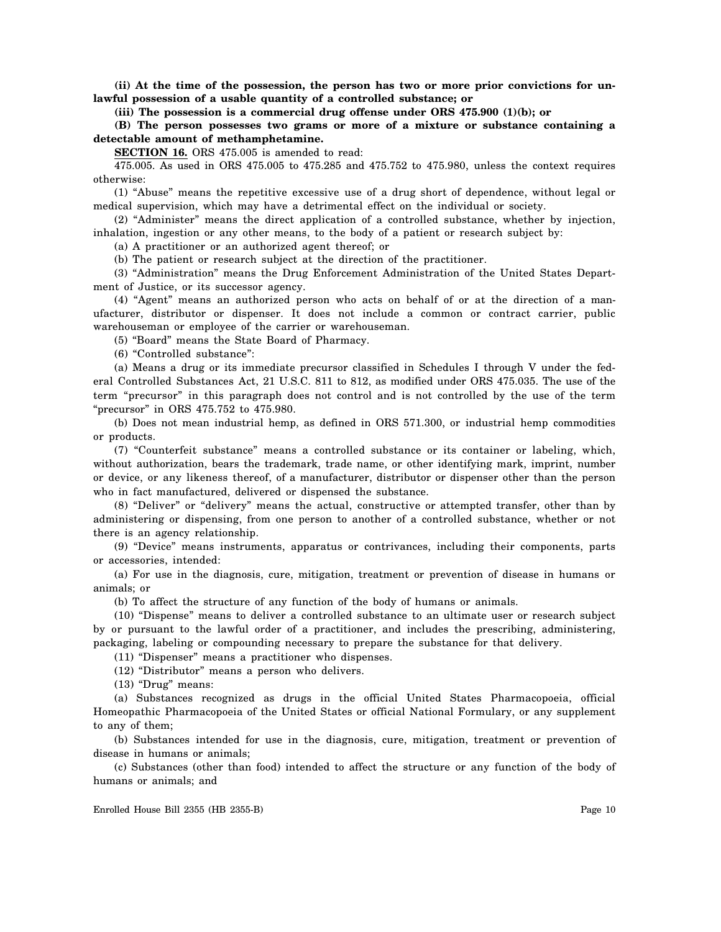**(ii) At the time of the possession, the person has two or more prior convictions for unlawful possession of a usable quantity of a controlled substance; or**

**(iii) The possession is a commercial drug offense under ORS 475.900 (1)(b); or**

**(B) The person possesses two grams or more of a mixture or substance containing a detectable amount of methamphetamine.**

**SECTION 16.** ORS 475.005 is amended to read:

475.005. As used in ORS 475.005 to 475.285 and 475.752 to 475.980, unless the context requires otherwise:

(1) "Abuse" means the repetitive excessive use of a drug short of dependence, without legal or medical supervision, which may have a detrimental effect on the individual or society.

(2) "Administer" means the direct application of a controlled substance, whether by injection, inhalation, ingestion or any other means, to the body of a patient or research subject by:

(a) A practitioner or an authorized agent thereof; or

(b) The patient or research subject at the direction of the practitioner.

(3) "Administration" means the Drug Enforcement Administration of the United States Department of Justice, or its successor agency.

(4) "Agent" means an authorized person who acts on behalf of or at the direction of a manufacturer, distributor or dispenser. It does not include a common or contract carrier, public warehouseman or employee of the carrier or warehouseman.

(5) "Board" means the State Board of Pharmacy.

(6) "Controlled substance":

(a) Means a drug or its immediate precursor classified in Schedules I through V under the federal Controlled Substances Act, 21 U.S.C. 811 to 812, as modified under ORS 475.035. The use of the term "precursor" in this paragraph does not control and is not controlled by the use of the term "precursor" in ORS 475.752 to 475.980.

(b) Does not mean industrial hemp, as defined in ORS 571.300, or industrial hemp commodities or products.

(7) "Counterfeit substance" means a controlled substance or its container or labeling, which, without authorization, bears the trademark, trade name, or other identifying mark, imprint, number or device, or any likeness thereof, of a manufacturer, distributor or dispenser other than the person who in fact manufactured, delivered or dispensed the substance.

(8) "Deliver" or "delivery" means the actual, constructive or attempted transfer, other than by administering or dispensing, from one person to another of a controlled substance, whether or not there is an agency relationship.

(9) "Device" means instruments, apparatus or contrivances, including their components, parts or accessories, intended:

(a) For use in the diagnosis, cure, mitigation, treatment or prevention of disease in humans or animals; or

(b) To affect the structure of any function of the body of humans or animals.

(10) "Dispense" means to deliver a controlled substance to an ultimate user or research subject by or pursuant to the lawful order of a practitioner, and includes the prescribing, administering, packaging, labeling or compounding necessary to prepare the substance for that delivery.

(11) "Dispenser" means a practitioner who dispenses.

(12) "Distributor" means a person who delivers.

(13) "Drug" means:

(a) Substances recognized as drugs in the official United States Pharmacopoeia, official Homeopathic Pharmacopoeia of the United States or official National Formulary, or any supplement to any of them;

(b) Substances intended for use in the diagnosis, cure, mitigation, treatment or prevention of disease in humans or animals;

(c) Substances (other than food) intended to affect the structure or any function of the body of humans or animals; and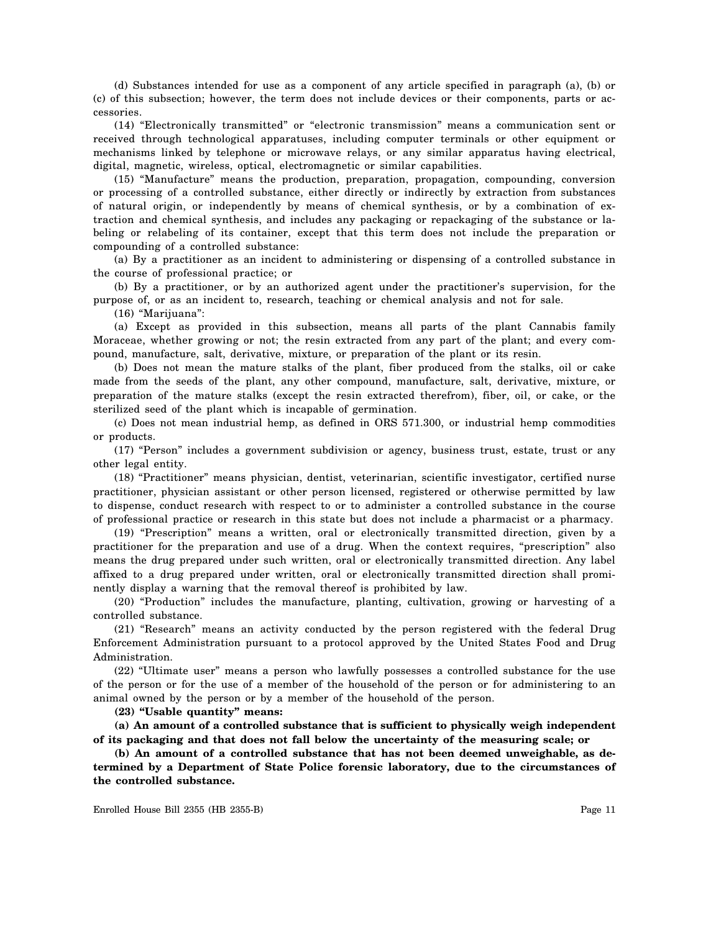(d) Substances intended for use as a component of any article specified in paragraph (a), (b) or (c) of this subsection; however, the term does not include devices or their components, parts or accessories.

(14) "Electronically transmitted" or "electronic transmission" means a communication sent or received through technological apparatuses, including computer terminals or other equipment or mechanisms linked by telephone or microwave relays, or any similar apparatus having electrical, digital, magnetic, wireless, optical, electromagnetic or similar capabilities.

(15) "Manufacture" means the production, preparation, propagation, compounding, conversion or processing of a controlled substance, either directly or indirectly by extraction from substances of natural origin, or independently by means of chemical synthesis, or by a combination of extraction and chemical synthesis, and includes any packaging or repackaging of the substance or labeling or relabeling of its container, except that this term does not include the preparation or compounding of a controlled substance:

(a) By a practitioner as an incident to administering or dispensing of a controlled substance in the course of professional practice; or

(b) By a practitioner, or by an authorized agent under the practitioner's supervision, for the purpose of, or as an incident to, research, teaching or chemical analysis and not for sale.

(16) "Marijuana":

(a) Except as provided in this subsection, means all parts of the plant Cannabis family Moraceae, whether growing or not; the resin extracted from any part of the plant; and every compound, manufacture, salt, derivative, mixture, or preparation of the plant or its resin.

(b) Does not mean the mature stalks of the plant, fiber produced from the stalks, oil or cake made from the seeds of the plant, any other compound, manufacture, salt, derivative, mixture, or preparation of the mature stalks (except the resin extracted therefrom), fiber, oil, or cake, or the sterilized seed of the plant which is incapable of germination.

(c) Does not mean industrial hemp, as defined in ORS 571.300, or industrial hemp commodities or products.

(17) "Person" includes a government subdivision or agency, business trust, estate, trust or any other legal entity.

(18) "Practitioner" means physician, dentist, veterinarian, scientific investigator, certified nurse practitioner, physician assistant or other person licensed, registered or otherwise permitted by law to dispense, conduct research with respect to or to administer a controlled substance in the course of professional practice or research in this state but does not include a pharmacist or a pharmacy.

(19) "Prescription" means a written, oral or electronically transmitted direction, given by a practitioner for the preparation and use of a drug. When the context requires, "prescription" also means the drug prepared under such written, oral or electronically transmitted direction. Any label affixed to a drug prepared under written, oral or electronically transmitted direction shall prominently display a warning that the removal thereof is prohibited by law.

(20) "Production" includes the manufacture, planting, cultivation, growing or harvesting of a controlled substance.

(21) "Research" means an activity conducted by the person registered with the federal Drug Enforcement Administration pursuant to a protocol approved by the United States Food and Drug Administration.

(22) "Ultimate user" means a person who lawfully possesses a controlled substance for the use of the person or for the use of a member of the household of the person or for administering to an animal owned by the person or by a member of the household of the person.

**(23) "Usable quantity" means:**

**(a) An amount of a controlled substance that is sufficient to physically weigh independent of its packaging and that does not fall below the uncertainty of the measuring scale; or**

**(b) An amount of a controlled substance that has not been deemed unweighable, as determined by a Department of State Police forensic laboratory, due to the circumstances of the controlled substance.**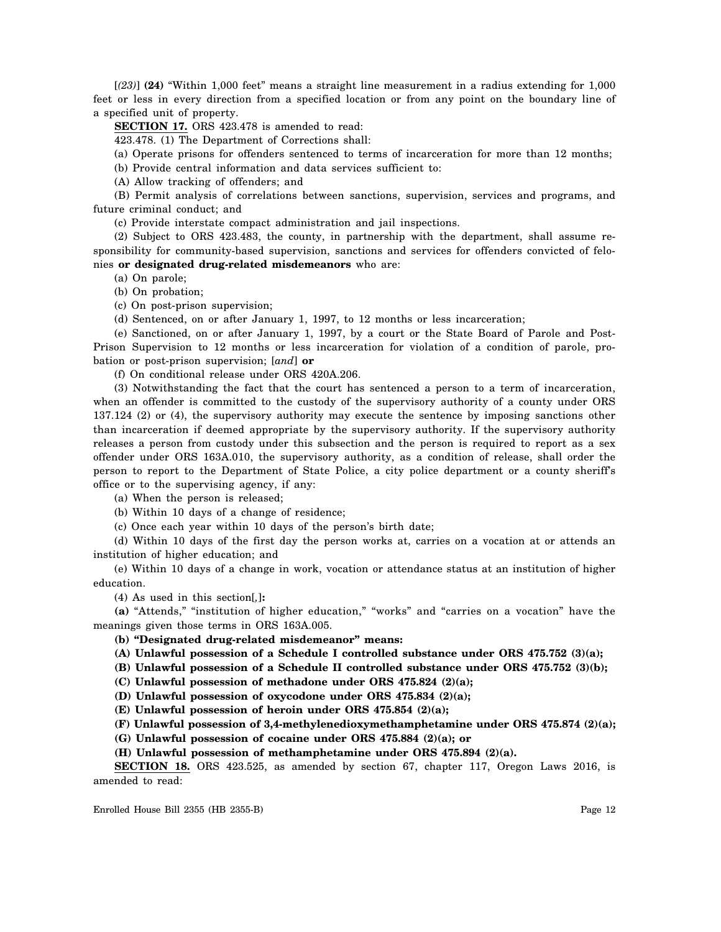[*(23)*] **(24)** "Within 1,000 feet" means a straight line measurement in a radius extending for 1,000 feet or less in every direction from a specified location or from any point on the boundary line of a specified unit of property.

**SECTION 17.** ORS 423.478 is amended to read:

423.478. (1) The Department of Corrections shall:

(a) Operate prisons for offenders sentenced to terms of incarceration for more than 12 months;

(b) Provide central information and data services sufficient to:

(A) Allow tracking of offenders; and

(B) Permit analysis of correlations between sanctions, supervision, services and programs, and future criminal conduct; and

(c) Provide interstate compact administration and jail inspections.

(2) Subject to ORS 423.483, the county, in partnership with the department, shall assume responsibility for community-based supervision, sanctions and services for offenders convicted of felonies **or designated drug-related misdemeanors** who are:

(a) On parole;

(b) On probation;

(c) On post-prison supervision;

(d) Sentenced, on or after January 1, 1997, to 12 months or less incarceration;

(e) Sanctioned, on or after January 1, 1997, by a court or the State Board of Parole and Post-Prison Supervision to 12 months or less incarceration for violation of a condition of parole, probation or post-prison supervision; [*and*] **or**

(f) On conditional release under ORS 420A.206.

(3) Notwithstanding the fact that the court has sentenced a person to a term of incarceration, when an offender is committed to the custody of the supervisory authority of a county under ORS 137.124 (2) or (4), the supervisory authority may execute the sentence by imposing sanctions other than incarceration if deemed appropriate by the supervisory authority. If the supervisory authority releases a person from custody under this subsection and the person is required to report as a sex offender under ORS 163A.010, the supervisory authority, as a condition of release, shall order the person to report to the Department of State Police, a city police department or a county sheriff's office or to the supervising agency, if any:

(a) When the person is released;

(b) Within 10 days of a change of residence;

(c) Once each year within 10 days of the person's birth date;

(d) Within 10 days of the first day the person works at, carries on a vocation at or attends an institution of higher education; and

(e) Within 10 days of a change in work, vocation or attendance status at an institution of higher education.

(4) As used in this section[*,*]**:**

**(a)** "Attends," "institution of higher education," "works" and "carries on a vocation" have the meanings given those terms in ORS 163A.005.

**(b) "Designated drug-related misdemeanor" means:**

**(A) Unlawful possession of a Schedule I controlled substance under ORS 475.752 (3)(a);**

**(B) Unlawful possession of a Schedule II controlled substance under ORS 475.752 (3)(b);**

**(C) Unlawful possession of methadone under ORS 475.824 (2)(a);**

**(D) Unlawful possession of oxycodone under ORS 475.834 (2)(a);**

**(E) Unlawful possession of heroin under ORS 475.854 (2)(a);**

**(F) Unlawful possession of 3,4-methylenedioxymethamphetamine under ORS 475.874 (2)(a);**

**(G) Unlawful possession of cocaine under ORS 475.884 (2)(a); or**

**(H) Unlawful possession of methamphetamine under ORS 475.894 (2)(a).**

**SECTION 18.** ORS 423.525, as amended by section 67, chapter 117, Oregon Laws 2016, is amended to read: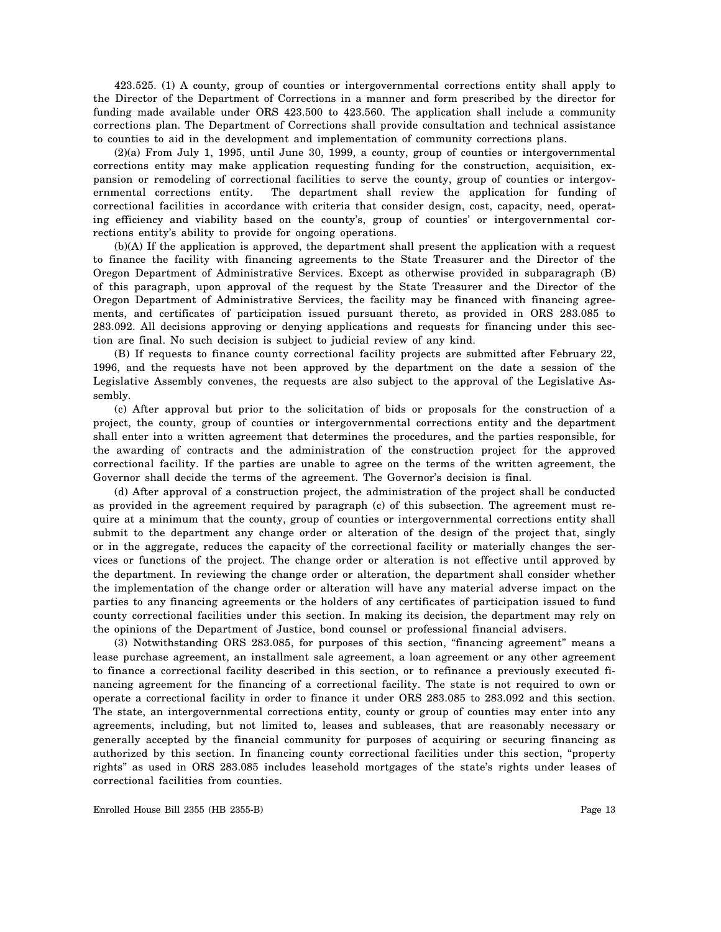423.525. (1) A county, group of counties or intergovernmental corrections entity shall apply to the Director of the Department of Corrections in a manner and form prescribed by the director for funding made available under ORS 423.500 to 423.560. The application shall include a community corrections plan. The Department of Corrections shall provide consultation and technical assistance to counties to aid in the development and implementation of community corrections plans.

(2)(a) From July 1, 1995, until June 30, 1999, a county, group of counties or intergovernmental corrections entity may make application requesting funding for the construction, acquisition, expansion or remodeling of correctional facilities to serve the county, group of counties or intergovernmental corrections entity. The department shall review the application for funding of correctional facilities in accordance with criteria that consider design, cost, capacity, need, operating efficiency and viability based on the county's, group of counties' or intergovernmental corrections entity's ability to provide for ongoing operations.

(b)(A) If the application is approved, the department shall present the application with a request to finance the facility with financing agreements to the State Treasurer and the Director of the Oregon Department of Administrative Services. Except as otherwise provided in subparagraph (B) of this paragraph, upon approval of the request by the State Treasurer and the Director of the Oregon Department of Administrative Services, the facility may be financed with financing agreements, and certificates of participation issued pursuant thereto, as provided in ORS 283.085 to 283.092. All decisions approving or denying applications and requests for financing under this section are final. No such decision is subject to judicial review of any kind.

(B) If requests to finance county correctional facility projects are submitted after February 22, 1996, and the requests have not been approved by the department on the date a session of the Legislative Assembly convenes, the requests are also subject to the approval of the Legislative Assembly.

(c) After approval but prior to the solicitation of bids or proposals for the construction of a project, the county, group of counties or intergovernmental corrections entity and the department shall enter into a written agreement that determines the procedures, and the parties responsible, for the awarding of contracts and the administration of the construction project for the approved correctional facility. If the parties are unable to agree on the terms of the written agreement, the Governor shall decide the terms of the agreement. The Governor's decision is final.

(d) After approval of a construction project, the administration of the project shall be conducted as provided in the agreement required by paragraph (c) of this subsection. The agreement must require at a minimum that the county, group of counties or intergovernmental corrections entity shall submit to the department any change order or alteration of the design of the project that, singly or in the aggregate, reduces the capacity of the correctional facility or materially changes the services or functions of the project. The change order or alteration is not effective until approved by the department. In reviewing the change order or alteration, the department shall consider whether the implementation of the change order or alteration will have any material adverse impact on the parties to any financing agreements or the holders of any certificates of participation issued to fund county correctional facilities under this section. In making its decision, the department may rely on the opinions of the Department of Justice, bond counsel or professional financial advisers.

(3) Notwithstanding ORS 283.085, for purposes of this section, "financing agreement" means a lease purchase agreement, an installment sale agreement, a loan agreement or any other agreement to finance a correctional facility described in this section, or to refinance a previously executed financing agreement for the financing of a correctional facility. The state is not required to own or operate a correctional facility in order to finance it under ORS 283.085 to 283.092 and this section. The state, an intergovernmental corrections entity, county or group of counties may enter into any agreements, including, but not limited to, leases and subleases, that are reasonably necessary or generally accepted by the financial community for purposes of acquiring or securing financing as authorized by this section. In financing county correctional facilities under this section, "property rights" as used in ORS 283.085 includes leasehold mortgages of the state's rights under leases of correctional facilities from counties.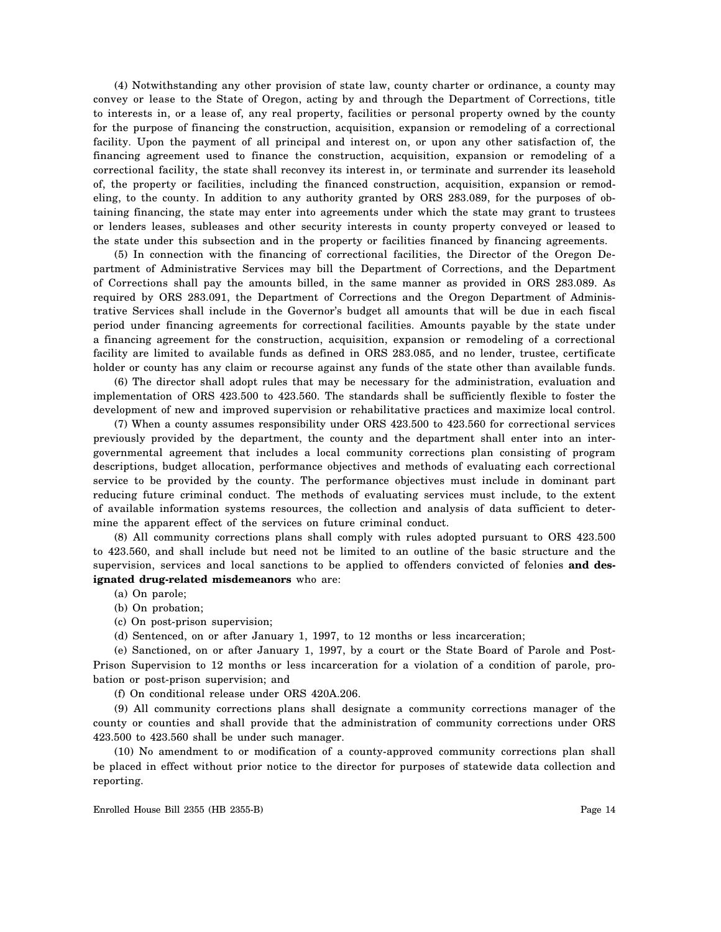(4) Notwithstanding any other provision of state law, county charter or ordinance, a county may convey or lease to the State of Oregon, acting by and through the Department of Corrections, title to interests in, or a lease of, any real property, facilities or personal property owned by the county for the purpose of financing the construction, acquisition, expansion or remodeling of a correctional facility. Upon the payment of all principal and interest on, or upon any other satisfaction of, the financing agreement used to finance the construction, acquisition, expansion or remodeling of a correctional facility, the state shall reconvey its interest in, or terminate and surrender its leasehold of, the property or facilities, including the financed construction, acquisition, expansion or remodeling, to the county. In addition to any authority granted by ORS 283.089, for the purposes of obtaining financing, the state may enter into agreements under which the state may grant to trustees or lenders leases, subleases and other security interests in county property conveyed or leased to the state under this subsection and in the property or facilities financed by financing agreements.

(5) In connection with the financing of correctional facilities, the Director of the Oregon Department of Administrative Services may bill the Department of Corrections, and the Department of Corrections shall pay the amounts billed, in the same manner as provided in ORS 283.089. As required by ORS 283.091, the Department of Corrections and the Oregon Department of Administrative Services shall include in the Governor's budget all amounts that will be due in each fiscal period under financing agreements for correctional facilities. Amounts payable by the state under a financing agreement for the construction, acquisition, expansion or remodeling of a correctional facility are limited to available funds as defined in ORS 283.085, and no lender, trustee, certificate holder or county has any claim or recourse against any funds of the state other than available funds.

(6) The director shall adopt rules that may be necessary for the administration, evaluation and implementation of ORS 423.500 to 423.560. The standards shall be sufficiently flexible to foster the development of new and improved supervision or rehabilitative practices and maximize local control.

(7) When a county assumes responsibility under ORS 423.500 to 423.560 for correctional services previously provided by the department, the county and the department shall enter into an intergovernmental agreement that includes a local community corrections plan consisting of program descriptions, budget allocation, performance objectives and methods of evaluating each correctional service to be provided by the county. The performance objectives must include in dominant part reducing future criminal conduct. The methods of evaluating services must include, to the extent of available information systems resources, the collection and analysis of data sufficient to determine the apparent effect of the services on future criminal conduct.

(8) All community corrections plans shall comply with rules adopted pursuant to ORS 423.500 to 423.560, and shall include but need not be limited to an outline of the basic structure and the supervision, services and local sanctions to be applied to offenders convicted of felonies **and designated drug-related misdemeanors** who are:

- (a) On parole;
- (b) On probation;
- (c) On post-prison supervision;
- (d) Sentenced, on or after January 1, 1997, to 12 months or less incarceration;

(e) Sanctioned, on or after January 1, 1997, by a court or the State Board of Parole and Post-Prison Supervision to 12 months or less incarceration for a violation of a condition of parole, probation or post-prison supervision; and

(f) On conditional release under ORS 420A.206.

(9) All community corrections plans shall designate a community corrections manager of the county or counties and shall provide that the administration of community corrections under ORS 423.500 to 423.560 shall be under such manager.

(10) No amendment to or modification of a county-approved community corrections plan shall be placed in effect without prior notice to the director for purposes of statewide data collection and reporting.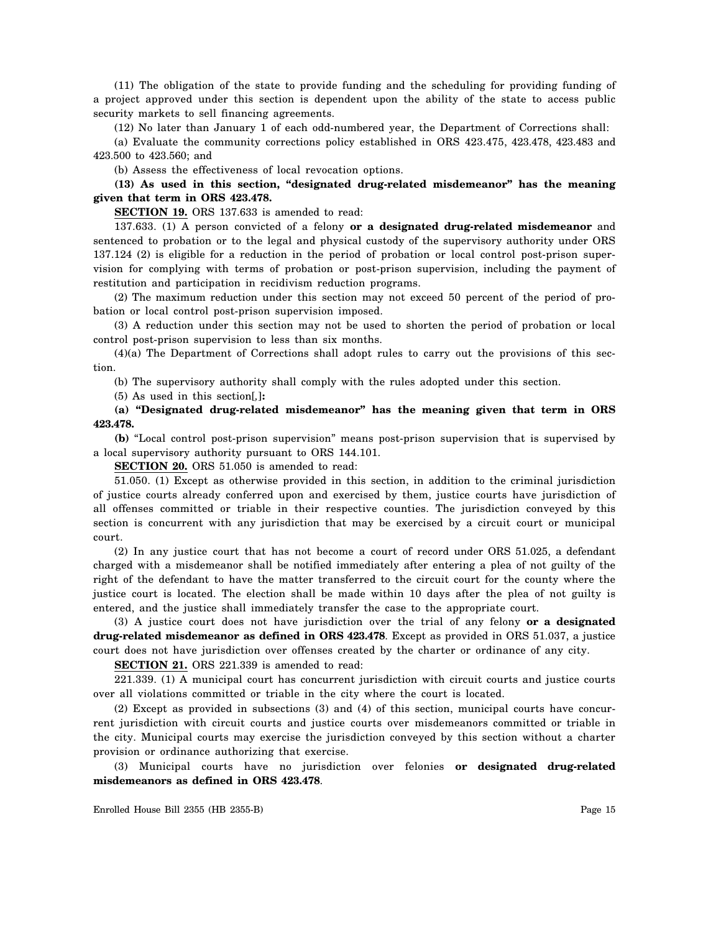(11) The obligation of the state to provide funding and the scheduling for providing funding of a project approved under this section is dependent upon the ability of the state to access public security markets to sell financing agreements.

(12) No later than January 1 of each odd-numbered year, the Department of Corrections shall:

(a) Evaluate the community corrections policy established in ORS 423.475, 423.478, 423.483 and 423.500 to 423.560; and

(b) Assess the effectiveness of local revocation options.

**(13) As used in this section, "designated drug-related misdemeanor" has the meaning given that term in ORS 423.478.**

**SECTION 19.** ORS 137.633 is amended to read:

137.633. (1) A person convicted of a felony **or a designated drug-related misdemeanor** and sentenced to probation or to the legal and physical custody of the supervisory authority under ORS 137.124 (2) is eligible for a reduction in the period of probation or local control post-prison supervision for complying with terms of probation or post-prison supervision, including the payment of restitution and participation in recidivism reduction programs.

(2) The maximum reduction under this section may not exceed 50 percent of the period of probation or local control post-prison supervision imposed.

(3) A reduction under this section may not be used to shorten the period of probation or local control post-prison supervision to less than six months.

(4)(a) The Department of Corrections shall adopt rules to carry out the provisions of this section.

(b) The supervisory authority shall comply with the rules adopted under this section.

(5) As used in this section[*,*]**:**

**(a) "Designated drug-related misdemeanor" has the meaning given that term in ORS 423.478.**

**(b)** "Local control post-prison supervision" means post-prison supervision that is supervised by a local supervisory authority pursuant to ORS 144.101.

**SECTION 20.** ORS 51.050 is amended to read:

51.050. (1) Except as otherwise provided in this section, in addition to the criminal jurisdiction of justice courts already conferred upon and exercised by them, justice courts have jurisdiction of all offenses committed or triable in their respective counties. The jurisdiction conveyed by this section is concurrent with any jurisdiction that may be exercised by a circuit court or municipal court.

(2) In any justice court that has not become a court of record under ORS 51.025, a defendant charged with a misdemeanor shall be notified immediately after entering a plea of not guilty of the right of the defendant to have the matter transferred to the circuit court for the county where the justice court is located. The election shall be made within 10 days after the plea of not guilty is entered, and the justice shall immediately transfer the case to the appropriate court.

(3) A justice court does not have jurisdiction over the trial of any felony **or a designated drug-related misdemeanor as defined in ORS 423.478**. Except as provided in ORS 51.037, a justice court does not have jurisdiction over offenses created by the charter or ordinance of any city.

**SECTION 21.** ORS 221.339 is amended to read:

221.339. (1) A municipal court has concurrent jurisdiction with circuit courts and justice courts over all violations committed or triable in the city where the court is located.

(2) Except as provided in subsections (3) and (4) of this section, municipal courts have concurrent jurisdiction with circuit courts and justice courts over misdemeanors committed or triable in the city. Municipal courts may exercise the jurisdiction conveyed by this section without a charter provision or ordinance authorizing that exercise.

(3) Municipal courts have no jurisdiction over felonies **or designated drug-related misdemeanors as defined in ORS 423.478**.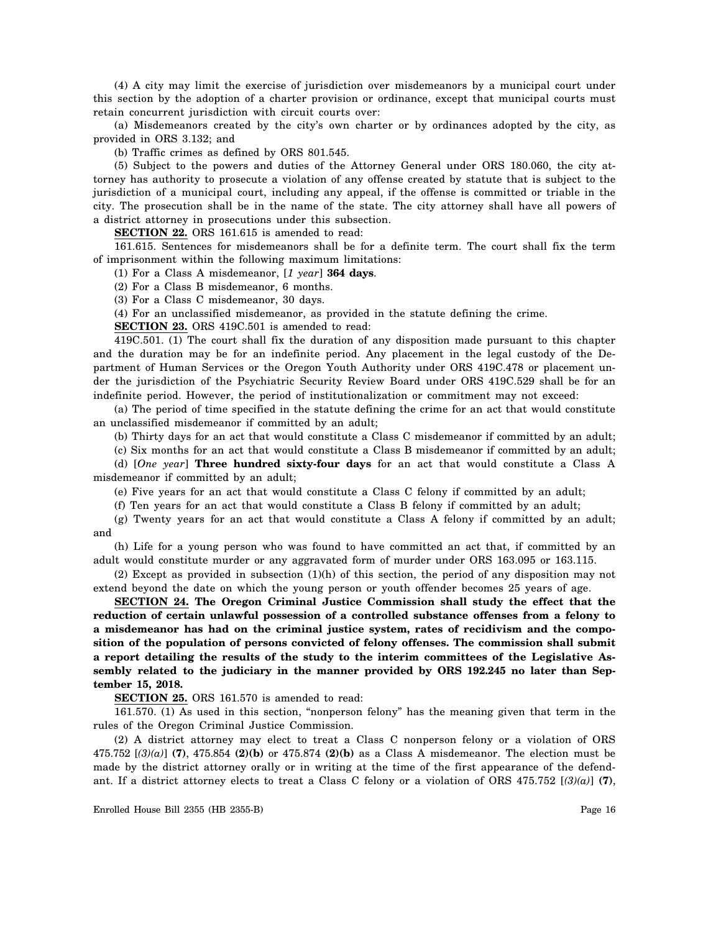(4) A city may limit the exercise of jurisdiction over misdemeanors by a municipal court under this section by the adoption of a charter provision or ordinance, except that municipal courts must retain concurrent jurisdiction with circuit courts over:

(a) Misdemeanors created by the city's own charter or by ordinances adopted by the city, as provided in ORS 3.132; and

(b) Traffic crimes as defined by ORS 801.545.

(5) Subject to the powers and duties of the Attorney General under ORS 180.060, the city attorney has authority to prosecute a violation of any offense created by statute that is subject to the jurisdiction of a municipal court, including any appeal, if the offense is committed or triable in the city. The prosecution shall be in the name of the state. The city attorney shall have all powers of a district attorney in prosecutions under this subsection.

**SECTION 22.** ORS 161.615 is amended to read:

161.615. Sentences for misdemeanors shall be for a definite term. The court shall fix the term of imprisonment within the following maximum limitations:

(1) For a Class A misdemeanor, [*1 year*] **364 days**.

(2) For a Class B misdemeanor, 6 months.

(3) For a Class C misdemeanor, 30 days.

(4) For an unclassified misdemeanor, as provided in the statute defining the crime.

**SECTION 23.** ORS 419C.501 is amended to read:

419C.501. (1) The court shall fix the duration of any disposition made pursuant to this chapter and the duration may be for an indefinite period. Any placement in the legal custody of the Department of Human Services or the Oregon Youth Authority under ORS 419C.478 or placement under the jurisdiction of the Psychiatric Security Review Board under ORS 419C.529 shall be for an indefinite period. However, the period of institutionalization or commitment may not exceed:

(a) The period of time specified in the statute defining the crime for an act that would constitute an unclassified misdemeanor if committed by an adult;

(b) Thirty days for an act that would constitute a Class C misdemeanor if committed by an adult;

(c) Six months for an act that would constitute a Class B misdemeanor if committed by an adult;

(d) [*One year*] **Three hundred sixty-four days** for an act that would constitute a Class A misdemeanor if committed by an adult;

(e) Five years for an act that would constitute a Class C felony if committed by an adult;

(f) Ten years for an act that would constitute a Class B felony if committed by an adult;

(g) Twenty years for an act that would constitute a Class A felony if committed by an adult; and

(h) Life for a young person who was found to have committed an act that, if committed by an adult would constitute murder or any aggravated form of murder under ORS 163.095 or 163.115.

(2) Except as provided in subsection (1)(h) of this section, the period of any disposition may not extend beyond the date on which the young person or youth offender becomes 25 years of age.

**SECTION 24. The Oregon Criminal Justice Commission shall study the effect that the reduction of certain unlawful possession of a controlled substance offenses from a felony to a misdemeanor has had on the criminal justice system, rates of recidivism and the composition of the population of persons convicted of felony offenses. The commission shall submit a report detailing the results of the study to the interim committees of the Legislative Assembly related to the judiciary in the manner provided by ORS 192.245 no later than September 15, 2018.**

**SECTION 25.** ORS 161.570 is amended to read:

161.570. (1) As used in this section, "nonperson felony" has the meaning given that term in the rules of the Oregon Criminal Justice Commission.

(2) A district attorney may elect to treat a Class C nonperson felony or a violation of ORS 475.752 [*(3)(a)*] **(7)**, 475.854 **(2)(b)** or 475.874 **(2)(b)** as a Class A misdemeanor. The election must be made by the district attorney orally or in writing at the time of the first appearance of the defendant. If a district attorney elects to treat a Class C felony or a violation of ORS 475.752 [*(3)(a)*] **(7)**,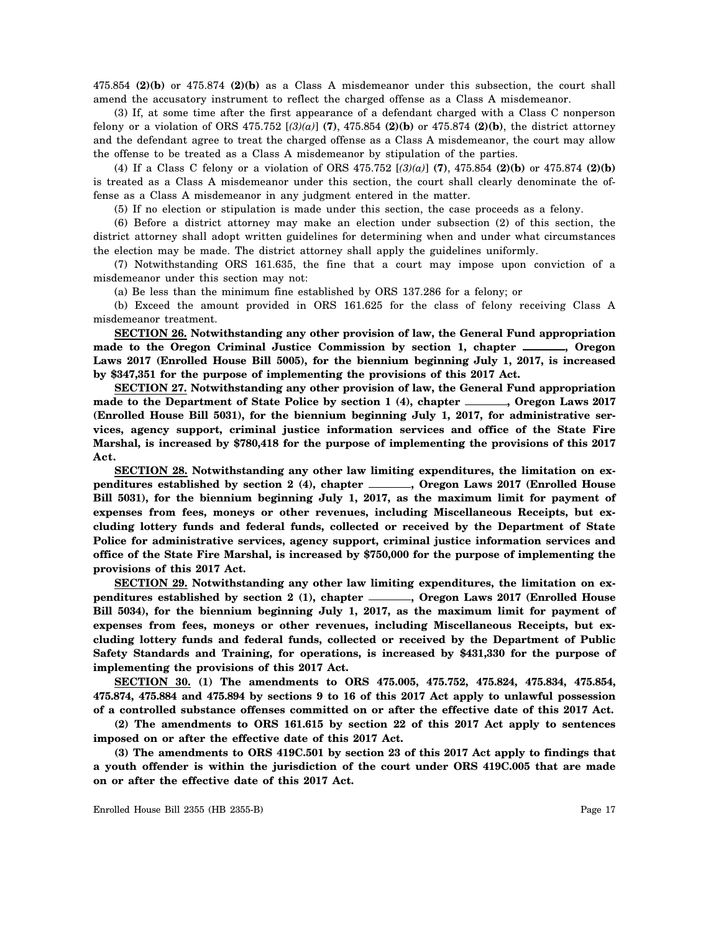475.854 **(2)(b)** or 475.874 **(2)(b)** as a Class A misdemeanor under this subsection, the court shall amend the accusatory instrument to reflect the charged offense as a Class A misdemeanor.

(3) If, at some time after the first appearance of a defendant charged with a Class C nonperson felony or a violation of ORS 475.752 [*(3)(a)*] **(7)**, 475.854 **(2)(b)** or 475.874 **(2)(b)**, the district attorney and the defendant agree to treat the charged offense as a Class A misdemeanor, the court may allow the offense to be treated as a Class A misdemeanor by stipulation of the parties.

(4) If a Class C felony or a violation of ORS 475.752 [*(3)(a)*] **(7)**, 475.854 **(2)(b)** or 475.874 **(2)(b)** is treated as a Class A misdemeanor under this section, the court shall clearly denominate the offense as a Class A misdemeanor in any judgment entered in the matter.

(5) If no election or stipulation is made under this section, the case proceeds as a felony.

(6) Before a district attorney may make an election under subsection (2) of this section, the district attorney shall adopt written guidelines for determining when and under what circumstances the election may be made. The district attorney shall apply the guidelines uniformly.

(7) Notwithstanding ORS 161.635, the fine that a court may impose upon conviction of a misdemeanor under this section may not:

(a) Be less than the minimum fine established by ORS 137.286 for a felony; or

(b) Exceed the amount provided in ORS 161.625 for the class of felony receiving Class A misdemeanor treatment.

**SECTION 26. Notwithstanding any other provision of law, the General Fund appropriation** made to the Oregon Criminal Justice Commission by section 1, chapter \_\_\_\_\_, Oregon **Laws 2017 (Enrolled House Bill 5005), for the biennium beginning July 1, 2017, is increased by \$347,351 for the purpose of implementing the provisions of this 2017 Act.**

**SECTION 27. Notwithstanding any other provision of law, the General Fund appropriation** made to the Department of State Police by section 1 (4), chapter <u>equal</u>, Oregon Laws 2017 **(Enrolled House Bill 5031), for the biennium beginning July 1, 2017, for administrative services, agency support, criminal justice information services and office of the State Fire Marshal, is increased by \$780,418 for the purpose of implementing the provisions of this 2017 Act.**

**SECTION 28. Notwithstanding any other law limiting expenditures, the limitation on ex**penditures established by section 2 (4), chapter *campled Laws 2017* (Enrolled House **Bill 5031), for the biennium beginning July 1, 2017, as the maximum limit for payment of expenses from fees, moneys or other revenues, including Miscellaneous Receipts, but excluding lottery funds and federal funds, collected or received by the Department of State Police for administrative services, agency support, criminal justice information services and office of the State Fire Marshal, is increased by \$750,000 for the purpose of implementing the provisions of this 2017 Act.**

**SECTION 29. Notwithstanding any other law limiting expenditures, the limitation on ex**penditures established by section 2 (1), chapter *campled Laws 2017* (Enrolled House **Bill 5034), for the biennium beginning July 1, 2017, as the maximum limit for payment of expenses from fees, moneys or other revenues, including Miscellaneous Receipts, but excluding lottery funds and federal funds, collected or received by the Department of Public Safety Standards and Training, for operations, is increased by \$431,330 for the purpose of implementing the provisions of this 2017 Act.**

**SECTION 30. (1) The amendments to ORS 475.005, 475.752, 475.824, 475.834, 475.854, 475.874, 475.884 and 475.894 by sections 9 to 16 of this 2017 Act apply to unlawful possession of a controlled substance offenses committed on or after the effective date of this 2017 Act.**

**(2) The amendments to ORS 161.615 by section 22 of this 2017 Act apply to sentences imposed on or after the effective date of this 2017 Act.**

**(3) The amendments to ORS 419C.501 by section 23 of this 2017 Act apply to findings that a youth offender is within the jurisdiction of the court under ORS 419C.005 that are made on or after the effective date of this 2017 Act.**